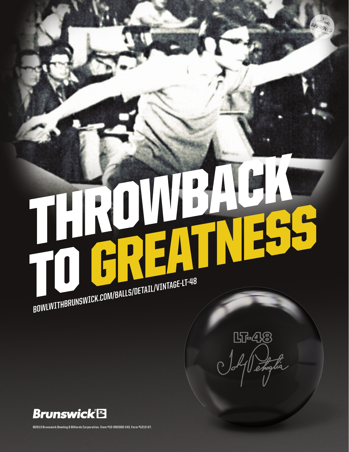# THROWBACK BOWLWITHBRUNSWICK.COM/BALLS/DETAIL/VINTAGE-LT-48

UT-48



**©2013 Brunswick Bowling & Billiards Corporation. Item #10-095300-143. Form #1213-07.**